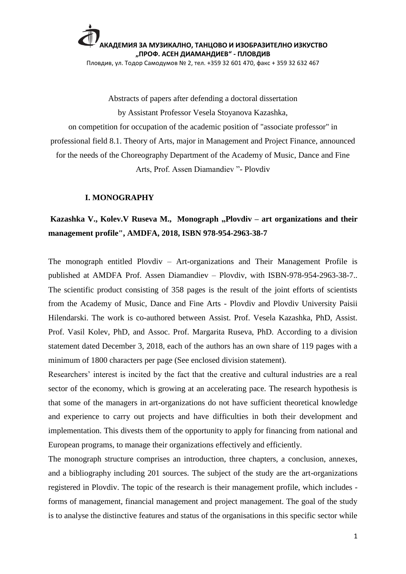

Abstracts of papers after defending a doctoral dissertation by Assistant Professor Vesela Stoyanova Kazashka, on competition for occupation of the academic position of "associate professor" in professional field 8.1. Theory of Arts, major in Management and Project Finance, announced for the needs of the Choreography Department of the Academy of Music, Dance and Fine Arts, Prof. Assen Diamandiev "- Plovdiv

#### **I. MONOGRAPHY**

### Kazashka V., Kolev.V Ruseva M., Monograph "Plovdiv – art organizations and their **management profile", AMDFA, 2018, ISBN 978-954-2963-38-7**

The monograph entitled Plovdiv – Art-organizations and Their Management Profile is published at AMDFA Prof. Assen Diamandiev – Plovdiv, with ISBN-978-954-2963-38-7.. The scientific product consisting of 358 pages is the result of the joint efforts of scientists from the Academy of Music, Dance and Fine Arts - Plovdiv and Plovdiv University Paisii Hilendarski. The work is co-authored between Assist. Prof. Vesela Kazashka, PhD, Assist. Prof. Vasil Kolev, PhD, and Assoc. Prof. Margarita Ruseva, PhD. According to a division statement dated December 3, 2018, each of the authors has an own share of 119 pages with a minimum of 1800 characters per page (See enclosed division statement).

Researchers' interest is incited by the fact that the creative and cultural industries are a real sector of the economy, which is growing at an accelerating pace. The research hypothesis is that some of the managers in art-organizations do not have sufficient theoretical knowledge and experience to carry out projects and have difficulties in both their development and implementation. This divests them of the opportunity to apply for financing from national and European programs, to manage their organizations effectively and efficiently.

The monograph structure comprises an introduction, three chapters, a conclusion, annexes, and a bibliography including 201 sources. The subject of the study are the art-organizations registered in Plovdiv. The topic of the research is their management profile, which includes forms of management, financial management and project management. The goal of the study is to analyse the distinctive features and status of the organisations in this specific sector while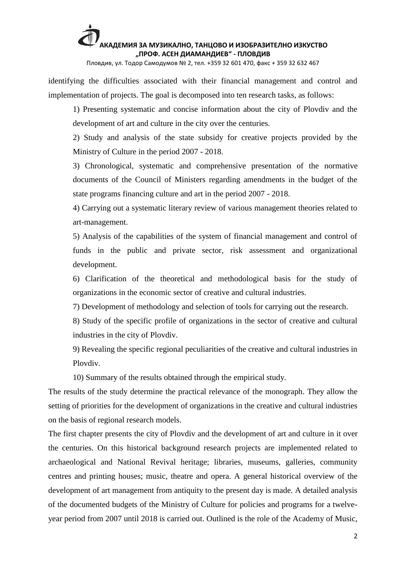Пловдив, ул. Тодор Самодумов № 2, тел. +359 32 601 470, факс + 359 32 632 467

identifying the difficulties associated with their financial management and control and implementation of projects. The goal is decomposed into ten research tasks, as follows:

1) Presenting systematic and concise information about the city of Plovdiv and the development of art and culture in the city over the centuries.

2) Study and analysis of the state subsidy for creative projects provided by the Ministry of Culture in the period 2007 - 2018.

3) Chronological, systematic and comprehensive presentation of the normative documents of the Council of Ministers regarding amendments in the budget of the state programs financing culture and art in the period 2007 - 2018.

4) Carrying out a systematic literary review of various management theories related to art-management.

5) Analysis of the capabilities of the system of financial management and control of funds in the public and private sector, risk assessment and organizational development.

6) Clarification of the theoretical and methodological basis for the study of organizations in the economic sector of creative and cultural industries.

7) Development of methodology and selection of tools for carrying out the research.

8) Study of the specific profile of organizations in the sector of creative and cultural industries in the city of Plovdiv.

9) Revealing the specific regional peculiarities of the creative and cultural industries in Plovdiv.

10) Summary of the results obtained through the empirical study.

The results of the study determine the practical relevance of the monograph. They allow the setting of priorities for the development of organizations in the creative and cultural industries on the basis of regional research models.

The first chapter presents the city of Plovdiv and the development of art and culture in it over the centuries. On this historical background research projects are implemented related to archaeological and National Revival heritage; libraries, museums, galleries, community centres and printing houses; music, theatre and opera. A general historical overview of the development of art management from antiquity to the present day is made. A detailed analysis of the documented budgets of the Ministry of Culture for policies and programs for a twelveyear period from 2007 until 2018 is carried out. Outlined is the role of the Academy of Music,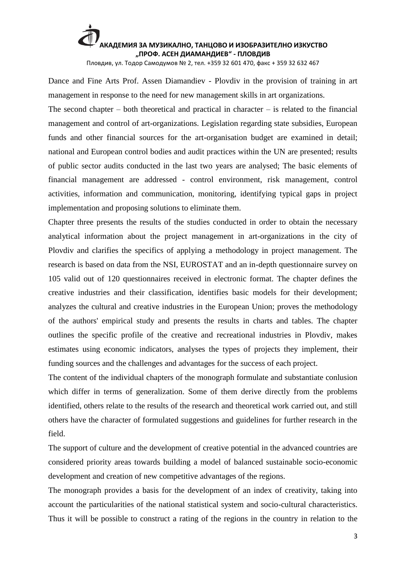Пловдив, ул. Тодор Самодумов № 2, тел. +359 32 601 470, факс + 359 32 632 467

Dance and Fine Arts Prof. Assen Diamandiev - Plovdiv in the provision of training in art management in response to the need for new management skills in art organizations.

The second chapter – both theoretical and practical in character – is related to the financial management and control of art-organizations. Legislation regarding state subsidies, European funds and other financial sources for the art-organisation budget are examined in detail; national and European control bodies and audit practices within the UN are presented; results of public sector audits conducted in the last two years are analysed; The basic elements of financial management are addressed - control environment, risk management, control activities, information and communication, monitoring, identifying typical gaps in project implementation and proposing solutions to eliminate them.

Chapter three presents the results of the studies conducted in order to obtain the necessary analytical information about the project management in art-organizations in the city of Plovdiv and clarifies the specifics of applying a methodology in project management. The research is based on data from the NSI, EUROSTAT and an in-depth questionnaire survey on 105 valid out of 120 questionnaires received in electronic format. The chapter defines the creative industries and their classification, identifies basic models for their development; analyzes the cultural and creative industries in the European Union; proves the methodology of the authors' empirical study and presents the results in charts and tables. The chapter outlines the specific profile of the creative and recreational industries in Plovdiv, makes estimates using economic indicators, analyses the types of projects they implement, their funding sources and the challenges and advantages for the success of each project.

The content of the individual chapters of the monograph formulate and substantiate conlusion which differ in terms of generalization. Some of them derive directly from the problems identified, others relate to the results of the research and theoretical work carried out, and still others have the character of formulated suggestions and guidelines for further research in the field.

The support of culture and the development of creative potential in the advanced countries are considered priority areas towards building a model of balanced sustainable socio-economic development and creation of new competitive advantages of the regions.

The monograph provides a basis for the development of an index of creativity, taking into account the particularities of the national statistical system and socio-cultural characteristics. Thus it will be possible to construct a rating of the regions in the country in relation to the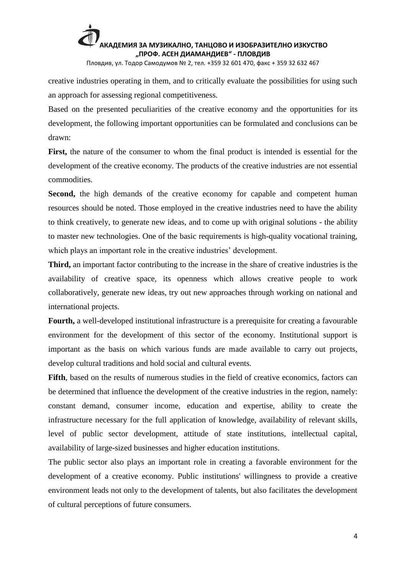Пловдив, ул. Тодор Самодумов № 2, тел. +359 32 601 470, факс + 359 32 632 467

creative industries operating in them, and to critically evaluate the possibilities for using such an approach for assessing regional competitiveness.

Based on the presented peculiarities of the creative economy and the opportunities for its development, the following important opportunities can be formulated and conclusions can be drawn:

**First,** the nature of the consumer to whom the final product is intended is essential for the development of the creative economy. The products of the creative industries are not essential commodities.

Second, the high demands of the creative economy for capable and competent human resources should be noted. Those employed in the creative industries need to have the ability to think creatively, to generate new ideas, and to come up with original solutions - the ability to master new technologies. One of the basic requirements is high-quality vocational training, which plays an important role in the creative industries' development.

**Third,** an important factor contributing to the increase in the share of creative industries is the availability of creative space, its openness which allows creative people to work collaboratively, generate new ideas, try out new approaches through working on national and international projects.

**Fourth,** a well-developed institutional infrastructure is a prerequisite for creating a favourable environment for the development of this sector of the economy. Institutional support is important as the basis on which various funds are made available to carry out projects, develop cultural traditions and hold social and cultural events.

**Fifth**, based on the results of numerous studies in the field of creative economics, factors can be determined that influence the development of the creative industries in the region, namely: constant demand, consumer income, education and expertise, ability to create the infrastructure necessary for the full application of knowledge, availability of relevant skills, level of public sector development, attitude of state institutions, intellectual capital, availability of large-sized businesses and higher education institutions.

The public sector also plays an important role in creating a favorable environment for the development of a creative economy. Public institutions' willingness to provide a creative environment leads not only to the development of talents, but also facilitates the development of cultural perceptions of future consumers.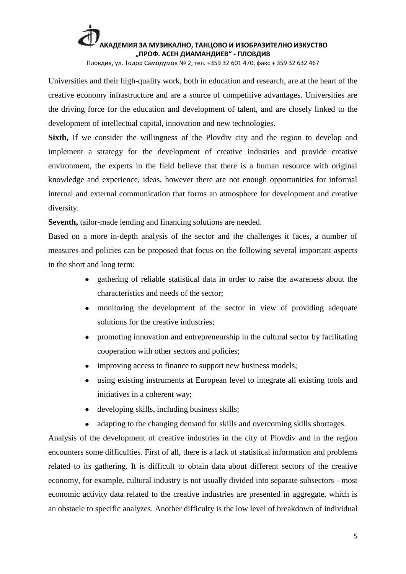Пловдив, ул. Тодор Самодумов № 2, тел. +359 32 601 470, факс + 359 32 632 467

Universities and their high-quality work, both in education and research, are at the heart of the creative economy infrastructure and are a source of competitive advantages. Universities are the driving force for the education and development of talent, and are closely linked to the development of intellectual capital, innovation and new technologies.

**Sixth,** If we consider the willingness of the Plovdiv city and the region to develop and implement a strategy for the development of creative industries and provide creative environment, the experts in the field believe that there is a human resource with original knowledge and experience, ideas, however there are not enough opportunities for informal internal and external communication that forms an atmosphere for development and creative diversity.

**Seventh,** tailor-made lending and financing solutions are needed.

Based on a more in-depth analysis of the sector and the challenges it faces, a number of measures and policies can be proposed that focus on the following several important aspects in the short and long term:

- gathering of reliable statistical data in order to raise the awareness about the characteristics and needs of the sector;
- $\bullet$ monitoring the development of the sector in view of providing adequate solutions for the creative industries;
- promoting innovation and entrepreneurship in the cultural sector by facilitating cooperation with other sectors and policies;
- improving access to finance to support new business models;
- using existing instruments at European level to integrate all existing tools and  $\bullet$ initiatives in a coherent way;
- $\bullet$ developing skills, including business skills;
- adapting to the changing demand for skills and overcoming skills shortages.

Analysis of the development of creative industries in the city of Plovdiv and in the region encounters some difficulties. First of all, there is a lack of statistical information and problems related to its gathering. It is difficult to obtain data about different sectors of the creative economy, for example, cultural industry is not usually divided into separate subsectors - most economic activity data related to the creative industries are presented in aggregate, which is an obstacle to specific analyzes. Another difficulty is the low level of breakdown of individual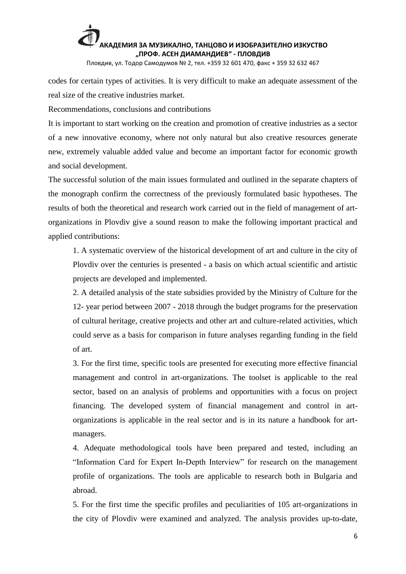Пловдив, ул. Тодор Самодумов № 2, тел. +359 32 601 470, факс + 359 32 632 467

codes for certain types of activities. It is very difficult to make an adequate assessment of the real size of the creative industries market.

Recommendations, conclusions and contributions

It is important to start working on the creation and promotion of creative industries as a sector of a new innovative economy, where not only natural but also creative resources generate new, extremely valuable added value and become an important factor for economic growth and social development.

The successful solution of the main issues formulated and outlined in the separate chapters of the monograph confirm the correctness of the previously formulated basic hypotheses. The results of both the theoretical and research work carried out in the field of management of artorganizations in Plovdiv give a sound reason to make the following important practical and applied contributions:

1. A systematic overview of the historical development of art and culture in the city of Plovdiv over the centuries is presented - a basis on which actual scientific and artistic projects are developed and implemented.

2. A detailed analysis of the state subsidies provided by the Ministry of Culture for the 12- year period between 2007 - 2018 through the budget programs for the preservation of cultural heritage, creative projects and other art and culture-related activities, which could serve as a basis for comparison in future analyses regarding funding in the field of art.

3. For the first time, specific tools are presented for executing more effective financial management and control in art-organizations. The toolset is applicable to the real sector, based on an analysis of problems and opportunities with a focus on project financing. The developed system of financial management and control in artorganizations is applicable in the real sector and is in its nature a handbook for artmanagers.

4. Adequate methodological tools have been prepared and tested, including an "Information Card for Expert In-Depth Interview" for research on the management profile of organizations. The tools are applicable to research both in Bulgaria and abroad.

5. For the first time the specific profiles and peculiarities of 105 art-organizations in the city of Plovdiv were examined and analyzed. The analysis provides up-to-date,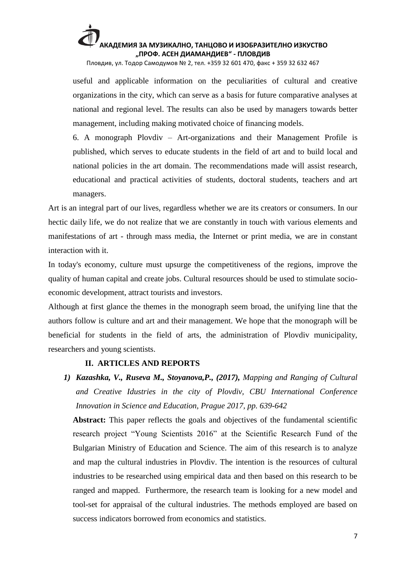Пловдив, ул. Тодор Самодумов № 2, тел. +359 32 601 470, факс + 359 32 632 467

useful and applicable information on the peculiarities of cultural and creative organizations in the city, which can serve as a basis for future comparative analyses at national and regional level. The results can also be used by managers towards better management, including making motivated choice of financing models.

6. A monograph Plovdiv – Art-organizations and their Management Profile is published, which serves to educate students in the field of art and to build local and national policies in the art domain. The recommendations made will assist research, educational and practical activities of students, doctoral students, teachers and art managers.

Art is an integral part of our lives, regardless whether we are its creators or consumers. In our hectic daily life, we do not realize that we are constantly in touch with various elements and manifestations of art - through mass media, the Internet or print media, we are in constant interaction with it.

In today's economy, culture must upsurge the competitiveness of the regions, improve the quality of human capital and create jobs. Cultural resources should be used to stimulate socioeconomic development, attract tourists and investors.

Although at first glance the themes in the monograph seem broad, the unifying line that the authors follow is culture and art and their management. We hope that the monograph will be beneficial for students in the field of arts, the administration of Plovdiv municipality, researchers and young scientists.

#### **II. ARTICLES AND REPORTS**

*1) Kazashka, V., Ruseva M., Stoyanova,P., (2017), Mapping and Ranging of Cultural and Creative Idustries in the city of Plovdiv, CBU International Conference Innovation in Science and Education, Prague 2017, pp. 639-642* 

Abstract: This paper reflects the goals and objectives of the fundamental scientific research project "Young Scientists 2016" at the Scientific Research Fund of the Bulgarian Ministry of Education and Science. The aim of this research is to analyze and map the cultural industries in Plovdiv. The intention is the resources of cultural industries to be researched using empirical data and then based on this research to be ranged and mapped. Furthermore, the research team is looking for a new model and tool-set for appraisal of the cultural industries. The methods employed are based on success indicators borrowed from economics and statistics.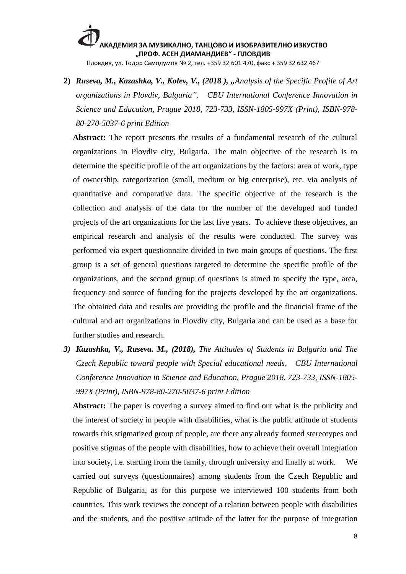Пловдив, ул. Тодор Самодумов № 2, тел. +359 32 601 470, факс + 359 32 632 467

**2)** *Ruseva, M., Kazashka, V., Kolev, V., (2018 ), "Analysis of the Specific Profile of Art organizations in Plovdiv, Bulgaria", CBU International Conference Innovation in Science and Education, Prague 2018, 723-733, ISSN-1805-997X (Print), ISBN-978- 80-270-5037-6 print Edition*

**Abstract:** The report presents the results of a fundamental research of the cultural organizations in Plovdiv city, Bulgaria. The main objective of the research is to determine the specific profile of the art organizations by the factors: area of work, type of ownership, categorization (small, medium or big enterprise), etc. via analysis of quantitative and comparative data. The specific objective of the research is the collection and analysis of the data for the number of the developed and funded projects of the art organizations for the last five years. To achieve these objectives, an empirical research and analysis of the results were conducted. The survey was performed via expert questionnaire divided in two main groups of questions. The first group is a set of general questions targeted to determine the specific profile of the organizations, and the second group of questions is aimed to specify the type, area, frequency and source of funding for the projects developed by the art organizations. The obtained data and results are providing the profile and the financial frame of the cultural and art organizations in Plovdiv city, Bulgaria and can be used as a base for further studies and research.

*3) Kazashka, V., Ruseva. M., (2018), The Attitudes of Students in Bulgaria and The Czech Republic toward people with Special educational needs, CBU International Conference Innovation in Science and Education, Prague 2018, 723-733, ISSN-1805- 997X (Print), ISBN-978-80-270-5037-6 print Edition*

**Abstract:** The paper is covering a survey aimed to find out what is the publicity and the interest of society in people with disabilities, what is the public attitude of students towards this stigmatized group of people, are there any already formed stereotypes and positive stigmas of the people with disabilities, how to achieve their overall integration into society, i.e. starting from the family, through university and finally at work. We carried out surveys (questionnaires) among students from the Czech Republic and Republic of Bulgaria, as for this purpose we interviewed 100 students from both countries. This work reviews the concept of a relation between people with disabilities and the students, and the positive attitude of the latter for the purpose of integration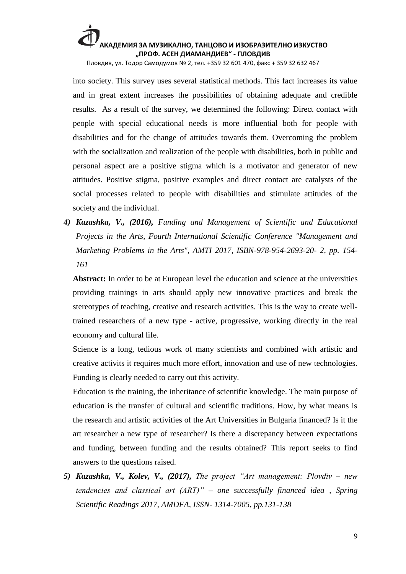Пловдив, ул. Тодор Самодумов № 2, тел. +359 32 601 470, факс + 359 32 632 467

into society. This survey uses several statistical methods. This fact increases its value and in great extent increases the possibilities of obtaining adequate and credible results. As a result of the survey, we determined the following: Direct contact with people with special educational needs is more influential both for people with disabilities and for the change of attitudes towards them. Overcoming the problem with the socialization and realization of the people with disabilities, both in public and personal aspect are a positive stigma which is a motivator and generator of new attitudes. Positive stigma, positive examples and direct contact are catalysts of the social processes related to people with disabilities and stimulate attitudes of the society and the individual.

*4) Kazashka, V., (2016), Funding and Management of Scientific and Educational Projects in the Arts, Fourth International Scientific Conference "Management and Marketing Problems in the Arts", AMTI 2017, ISBN-978-954-2693-20- 2, pp. 154- 161*

Abstract: In order to be at European level the education and science at the universities providing trainings in arts should apply new innovative practices and break the stereotypes of teaching, creative and research activities. This is the way to create welltrained researchers of a new type - active, progressive, working directly in the real economy and cultural life.

Science is a long, tedious work of many scientists and combined with artistic and creative activits it requires much more effort, innovation and use of new technologies. Funding is clearly needed to carry out this activity.

Education is the training, the inheritance of scientific knowledge. The main purpose of education is the transfer of cultural and scientific traditions. How, by what means is the research and artistic activities of the Art Universities in Bulgaria financed? Is it the art researcher a new type of researcher? Is there a discrepancy between expectations and funding, between funding and the results obtained? This report seeks to find answers to the questions raised.

*5) Кazashka, V., Kolev, V., (2017), The project "Art management: Plovdiv – new tendencies and classical art (ART)" – one successfully financed idea , Spring Scientific Readings 2017, AMDFA, ISSN- 1314-7005, pp.131-138*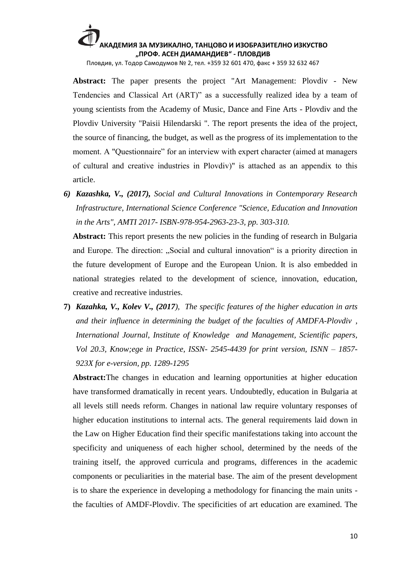Пловдив, ул. Тодор Самодумов № 2, тел. +359 32 601 470, факс + 359 32 632 467

**Abstract:** The paper presents the project "Art Management: Plovdiv - New Tendencies and Classical Art (ART)" as a successfully realized idea by a team of young scientists from the Academy of Music, Dance and Fine Arts - Plovdiv and the Plovdiv University "Paisii Hilendarski ". The report presents the idea of the project, the source of financing, the budget, as well as the progress of its implementation to the moment. A "Questionnaire" for an interview with expert character (aimed at managers of cultural and creative industries in Plovdiv)" is attached аs an appendix to this article.

*6) Kazashka, V., (2017), Social and Cultural Innovations in Contemporary Research Infrastructure, International Science Conference "Science, Education and Innovation in the Arts", AMTI 2017- ISBN-978-954-2963-23-3, pp. 303-310.*

Abstract: This report presents the new policies in the funding of research in Bulgaria and Europe. The direction: "Social and cultural innovation" is a priority direction in the future development of Europe and the European Union. It is also embedded in national strategies related to the development of science, innovation, education, creative and recreative industries.

**7)** *Kazahka, V., Kolev V., (2017), The specific features of the higher education in arts and their influence in determining the budget of the faculties of AMDFA-Plovdiv , International Journal, Institute of Knowledge and Management, Scientific papers, Vol 20.3, Know;ege in Practice, ISSN- 2545-4439 for print version, ISNN – 1857- 923X for e-version, pp. 1289-1295*

**Abstract:**The changes in education and learning opportunities at higher education have transformed dramatically in recent years. Undoubtedly, education in Bulgaria at all levels still needs reform. Changes in national law require voluntary responses of higher education institutions to internal acts. The general requirements laid down in the Law on Higher Education find their specific manifestations taking into account the specificity and uniqueness of each higher school, determined by the needs of the training itself, the approved curricula and programs, differences in the academic components or peculiarities in the material base. The aim of the present development is to share the experience in developing a methodology for financing the main units the faculties of AMDF-Plovdiv. The specificities of art education are examined. The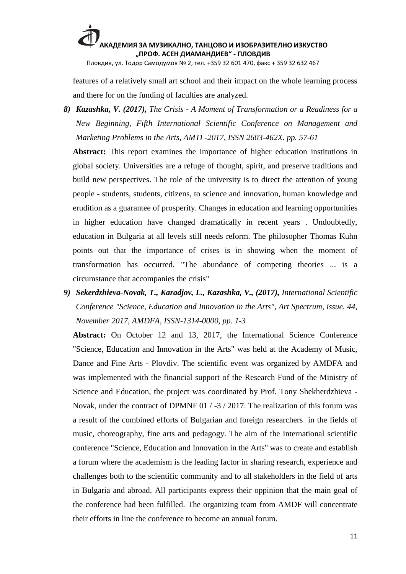Пловдив, ул. Тодор Самодумов № 2, тел. +359 32 601 470, факс + 359 32 632 467

features of a relatively small art school and their impact on the whole learning process and there for on the funding of faculties are analyzed.

*8) Kazashka, V. (2017), The Crisis - A Moment of Transformation or a Readiness for a New Beginning, Fifth International Scientific Conference on Management and Marketing Problems in the Arts, AMTI -2017, ISSN 2603-462X. pp. 57-61*

**Abstract:** This report examines the importance of higher education institutions in global society. Universities are a refuge of thought, spirit, and preserve traditions and build new perspectives. The role of the university is to direct the attention of young people - students, students, citizens, to science and innovation, human knowledge and erudition as a guarantee of prosperity. Changes in education and learning opportunities in higher education have changed dramatically in recent years . Undoubtedly, education in Bulgaria at all levels still needs reform. The philosopher Thomas Kuhn points out that the importance of crises is in showing when the moment of transformation has occurred. "The abundance of competing theories ... is a circumstance that accompanies the crisis"

*9) Sekerdzhieva-Novak, T., Karadjov, L., Kazashka, V., (2017), International Scientific Conference "Science, Education and Innovation in the Arts", Art Spectrum, issue. 44, November 2017, AMDFA, ISSN-1314-0000, pp. 1-3*

**Abstract:** On October 12 and 13, 2017, the International Science Conference "Science, Education and Innovation in the Arts" was held at the Academy of Music, Dance and Fine Arts - Plovdiv. The scientific event was organized by AMDFA and was implemented with the financial support of the Research Fund of the Ministry of Science and Education, the project was coordinated by Prof. Tony Shekherdzhieva - Novak, under the contract of DPMNF 01 / -3 / 2017. The realization of this forum was a result of the combined efforts of Bulgarian and foreign researchers in the fields of music, choreography, fine arts and pedagogy. The aim of the international scientific conference "Science, Education and Innovation in the Arts" was to create and establish a forum where the academism is the leading factor in sharing research, experience and challenges both to the scientific community and to all stakeholders in the field of arts in Bulgaria and abroad. All participants express their oppinion that the main goal of the conference had been fulfilled. The organizing team from AMDF will concentrate their efforts in line the conference to become an annual forum.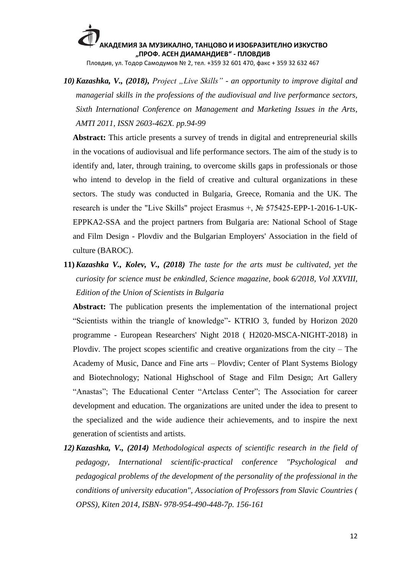Пловдив, ул. Тодор Самодумов № 2, тел. +359 32 601 470, факс + 359 32 632 467

*10)Kazashka, V., (2018), Project "Live Skills" - an opportunity to improve digital and managerial skills in the professions of the audiovisual and live performance sectors, Sixth International Conference on Management and Marketing Issues in the Arts, AMTI 2011, ISSN 2603-462X. pp.94-99*

**Abstract:** This article presents a survey of trends in digital and entrepreneurial skills in the vocations of audiovisual and life performance sectors. The aim of the study is to identify and, later, through training, to overcome skills gaps in professionals or those who intend to develop in the field of creative and cultural organizations in these sectors. The study was conducted in Bulgaria, Greece, Romania and the UK. The research is under the "Live Skills" project Erasmus +, № 575425-EPP-1-2016-1-UK-EPPKA2-SSA and the project partners from Bulgaria are: National School of Stage and Film Design - Plovdiv and the Bulgarian Employers' Association in the field of culture (BAROC).

**11)***Kazashka V., Kolev, V., (2018) The taste for the arts must be cultivated, yet the curiosity for science must be enkindled, Science magazine, book 6/2018, Vol XXVIII, Edition of the Union of Scientists in Bulgaria*

**Abstract:** The publication presents the implementation of the international project "Scientists within the triangle of knowledge"- KTRIO 3, funded by Horizon 2020 programme - European Researchers' Night 2018 ( H2020-MSCA-NIGHT-2018) in Plovdiv. The project scopes scientific and creative organizations from the city – The Academy of Music, Dance and Fine arts – Plovdiv; Center of Plant Systems Biology and Biotechnology; National Highschool of Stage and Film Design; Art Gallery "Anastas"; The Educational Center "Artclass Center"; The Association for career development and education. The organizations are united under the idea to present to the specialized and the wide audience their achievements, and to inspire the next generation of scientists and artists.

*12)Kazashka, V., (2014) Methodological aspects of scientific research in the field of pedagogy, International scientific-practical conference "Psychological and pedagogical problems of the development of the personality of the professional in the conditions of university education", Association of Professors from Slavic Countries ( OPSS), Kiten 2014, ISBN- 978-954-490-448-7p. 156-161*